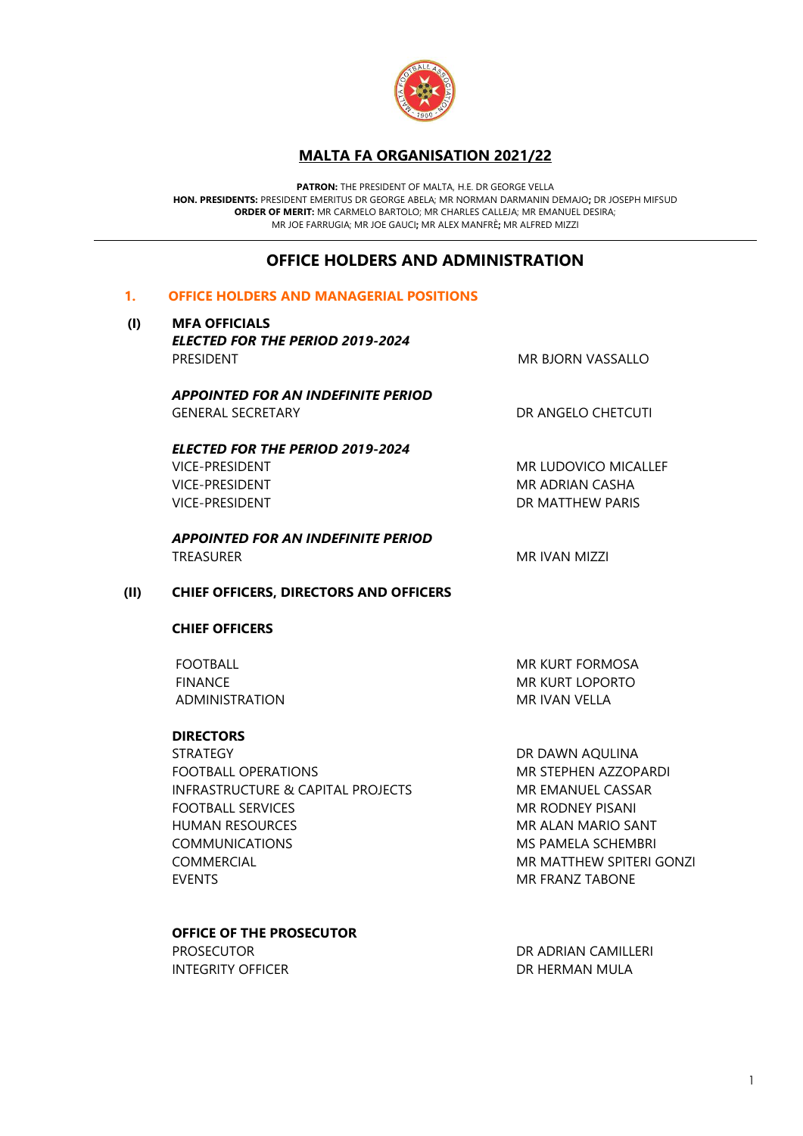

# **MALTA FA ORGANISATION 2021/22**

**PATRON:** THE PRESIDENT OF MALTA, H.E. DR GEORGE VELLA **HON. PRESIDENTS:** PRESIDENT EMERITUS DR GEORGE ABELA; MR NORMAN DARMANIN DEMAJO**;** DR JOSEPH MIFSUD **ORDER OF MERIT:** MR CARMELO BARTOLO; MR CHARLES CALLEJA; MR EMANUEL DESIRA; MR JOE FARRUGIA; MR JOE GAUCI**;** MR ALEX MANFRÈ**;** MR ALFRED MIZZI

# **OFFICE HOLDERS AND ADMINISTRATION**

### **1. OFFICE HOLDERS AND MANAGERIAL POSITIONS**

#### **(I) MFA OFFICIALS**

*ELECTED FOR THE PERIOD 2019-2024* PRESIDENT NO MANUSCRIPT AND THE SERIES OF THE SERIES OF THE SERIES OF THE SERIES OF THE SERIES OF THE SERIES OF THE SERIES OF THE SERIES OF THE SERIES OF THE SERIES OF THE SERIES OF THE SERIES OF THE SERIES OF THE SERIES O

*APPOINTED FOR AN INDEFINITE PERIOD* GENERAL SECRETARY **CHETCUTI DR ANGELO CHETCUTI** 

# *ELECTED FOR THE PERIOD 2019-2024*

VICE-PRESIDENT MR LUDOVICO MICALLEF VICE-PRESIDENT MR ADRIAN CASHA VICE-PRESIDENT **DR MATTHEW PARIS** 

*APPOINTED FOR AN INDEFINITE PERIOD* TREASURER MR IVAN MIZZI

### **(II) CHIEF OFFICERS, DIRECTORS AND OFFICERS**

#### **CHIEF OFFICERS**

ADMINISTRATION MR IVAN VELLA

### **DIRECTORS**

STRATEGY DR DAWN AQULINA FOOTBALL OPERATIONS MR STEPHEN AZZOPARDI INFRASTRUCTURE & CAPITAL PROJECTS MR EMANUEL CASSAR **FOOTBALL SERVICES** MR RODNEY PISANI HUMAN RESOURCES MR ALAN MARIO SANT COMMUNICATIONS MS PAMELA SCHEMBRI COMMERCIAL **MR MATTHEW SPITERI GONZI** EVENTS FRANZ TABONE

### **OFFICE OF THE PROSECUTOR**

INTEGRITY OFFICER **EXECUTE IN THE SECOND TERMAN MULA** 

FOOTBALL MR KURT FORMOSA FINANCE MR KURT LOPORTO

PROSECUTOR **DR ADRIAN CAMILLERI**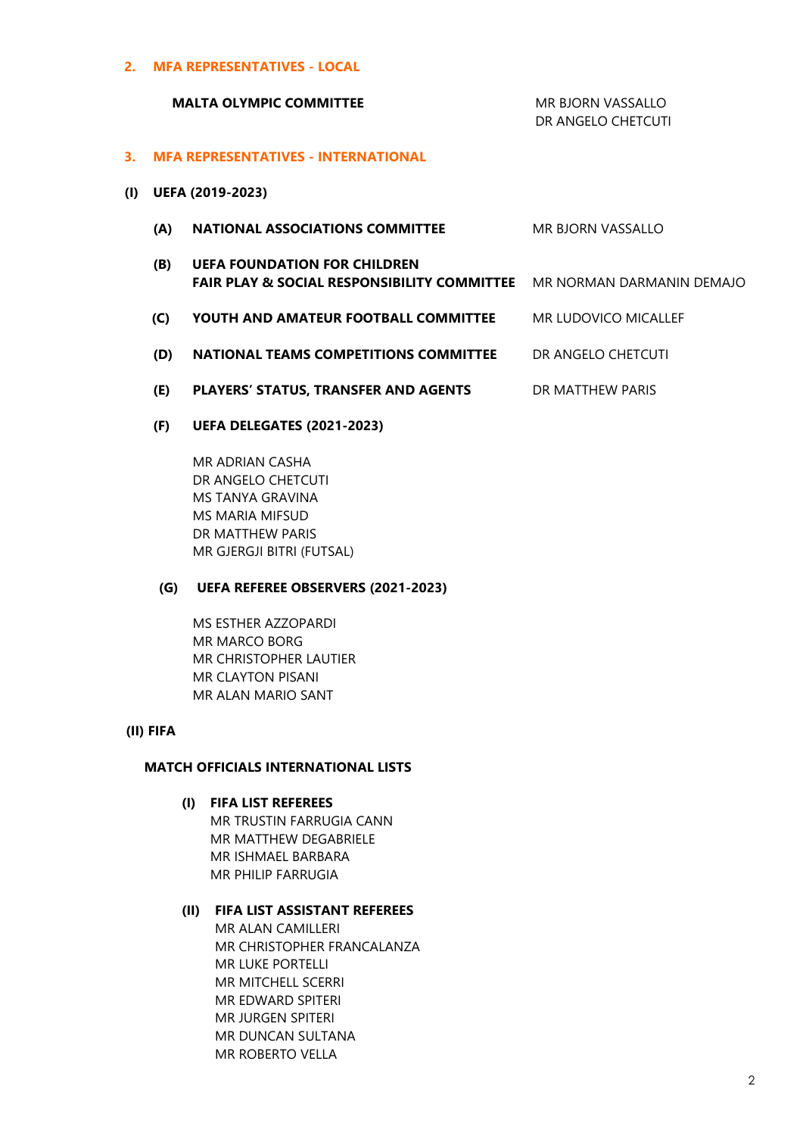**2. MFA REPRESENTATIVES - LOCAL** 

#### **MALTA OLYMPIC COMMITTEE** MALTA **MR BJORN VASSALLO**

DR ANGELO CHETCUTI

#### **3. MFA REPRESENTATIVES - INTERNATIONAL**

- **(I) UEFA (2019-2023)**
	- **(A) NATIONAL ASSOCIATIONS COMMITTEE** MR BJORN VASSALLO
	- **(B) UEFA FOUNDATION FOR CHILDREN**  FAIR PLAY & SOCIAL RESPONSIBILITY COMMITTEE MR NORMAN DARMANIN DEMAJO
	- **(C) YOUTH AND AMATEUR FOOTBALL COMMITTEE** MR LUDOVICO MICALLEF
	- **(D) NATIONAL TEAMS COMPETITIONS COMMITTEE** DR ANGELO CHETCUTI
	- **(E) PLAYERS' STATUS, TRANSFER AND AGENTS** DR MATTHEW PARIS
	- **(F) UEFA DELEGATES (2021-2023)**

MR ADRIAN CASHA DR ANGELO CHETCUTI MS TANYA GRAVINA MS MARIA MIFSUD DR MATTHEW PARIS MR GJERGJI BITRI (FUTSAL)

#### **(G) UEFA REFEREE OBSERVERS (2021-2023)**

MS ESTHER AZZOPARDI MR MARCO BORG MR CHRISTOPHER LAUTIER MR CLAYTON PISANI MR ALAN MARIO SANT

#### **(II) FIFA**

#### **MATCH OFFICIALS INTERNATIONAL LISTS**

**(I) FIFA LIST REFEREES** MR TRUSTIN FARRUGIA CANN MR MATTHEW DEGABRIELE MR ISHMAEL BARBARA MR PHILIP FARRUGIA

## **(II) FIFA LIST ASSISTANT REFEREES**

 MR ALAN CAMILLERI MR CHRISTOPHER FRANCALANZA MR LUKE PORTELLI MR MITCHELL SCERRI MR EDWARD SPITERI MR JURGEN SPITERI MR DUNCAN SULTANA MR ROBERTO VELLA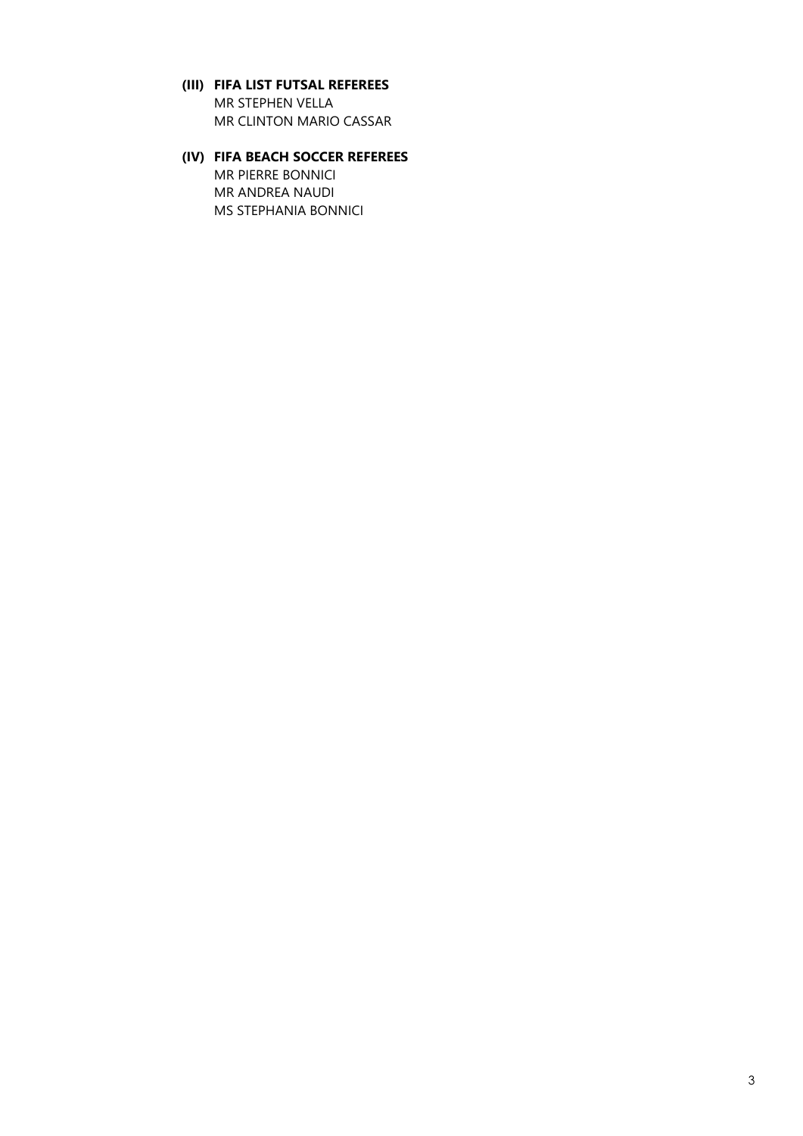- **(III) FIFA LIST FUTSAL REFEREES** MR STEPHEN VELLA MR CLINTON MARIO CASSAR
- **(IV) FIFA BEACH SOCCER REFEREES** MR PIERRE BONNICI MR ANDREA NAUDI MS STEPHANIA BONNICI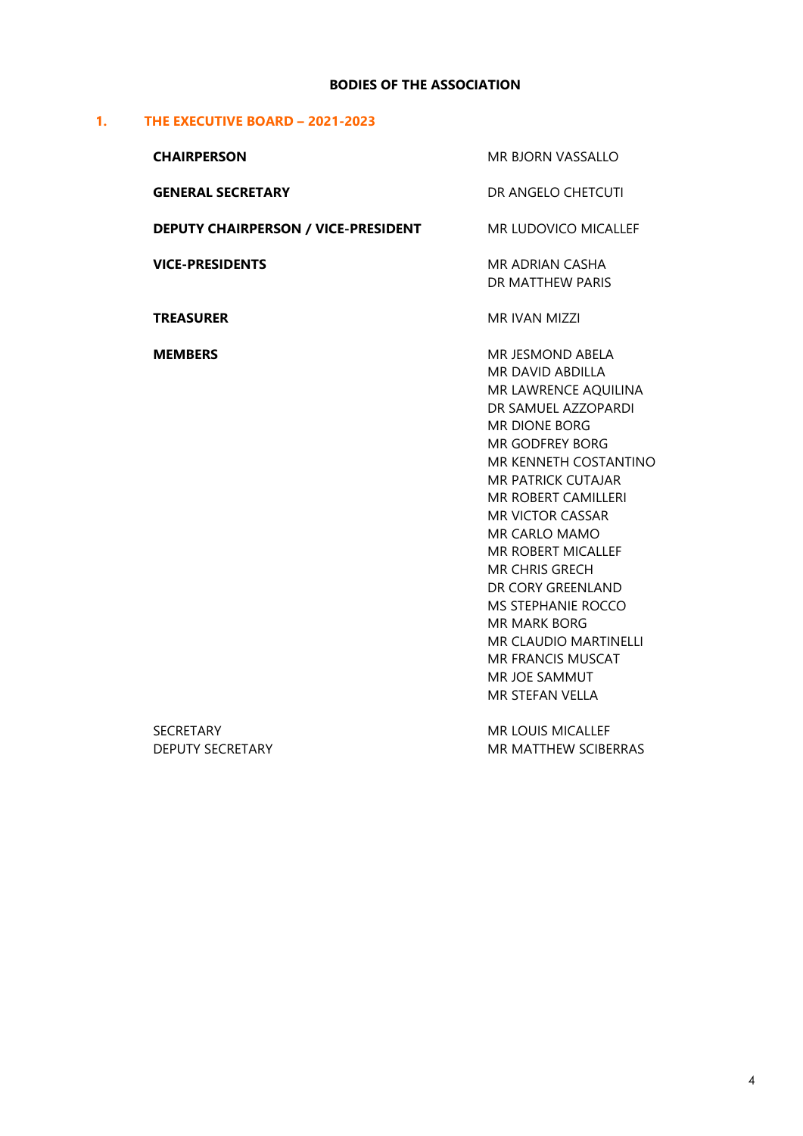# **BODIES OF THE ASSOCIATION**

# **1. THE EXECUTIVE BOARD – 2021-2023**

| <b>CHAIRPERSON</b>                          | MR BJORN VASSALLO<br>DR ANGELO CHETCUTI                                                                                                                                                                                                                                                                                                                                                                                                                                                       |  |
|---------------------------------------------|-----------------------------------------------------------------------------------------------------------------------------------------------------------------------------------------------------------------------------------------------------------------------------------------------------------------------------------------------------------------------------------------------------------------------------------------------------------------------------------------------|--|
| <b>GENERAL SECRETARY</b>                    |                                                                                                                                                                                                                                                                                                                                                                                                                                                                                               |  |
| <b>DEPUTY CHAIRPERSON / VICE-PRESIDENT</b>  | <b>MR LUDOVICO MICALLEF</b>                                                                                                                                                                                                                                                                                                                                                                                                                                                                   |  |
| <b>VICE-PRESIDENTS</b>                      | MR ADRIAN CASHA<br>DR MATTHEW PARIS                                                                                                                                                                                                                                                                                                                                                                                                                                                           |  |
| <b>TREASURER</b>                            | <b>MR IVAN MIZZI</b>                                                                                                                                                                                                                                                                                                                                                                                                                                                                          |  |
| <b>MEMBERS</b>                              | MR JESMOND ABELA<br>MR DAVID ABDILLA<br>MR LAWRENCE AQUILINA<br>DR SAMUEL AZZOPARDI<br><b>MR DIONE BORG</b><br><b>MR GODFREY BORG</b><br>MR KENNETH COSTANTINO<br><b>MR PATRICK CUTAJAR</b><br><b>MR ROBERT CAMILLERI</b><br><b>MR VICTOR CASSAR</b><br>MR CARLO MAMO<br><b>MR ROBERT MICALLEF</b><br><b>MR CHRIS GRECH</b><br>DR CORY GREENLAND<br>MS STEPHANIE ROCCO<br><b>MR MARK BORG</b><br><b>MR CLAUDIO MARTINELLI</b><br><b>MR FRANCIS MUSCAT</b><br>MR JOE SAMMUT<br>MR STEFAN VELLA |  |
| <b>SECRETARY</b><br><b>DEPUTY SECRETARY</b> | <b>MR LOUIS MICALLEF</b><br><b>MR MATTHEW SCIBERRAS</b>                                                                                                                                                                                                                                                                                                                                                                                                                                       |  |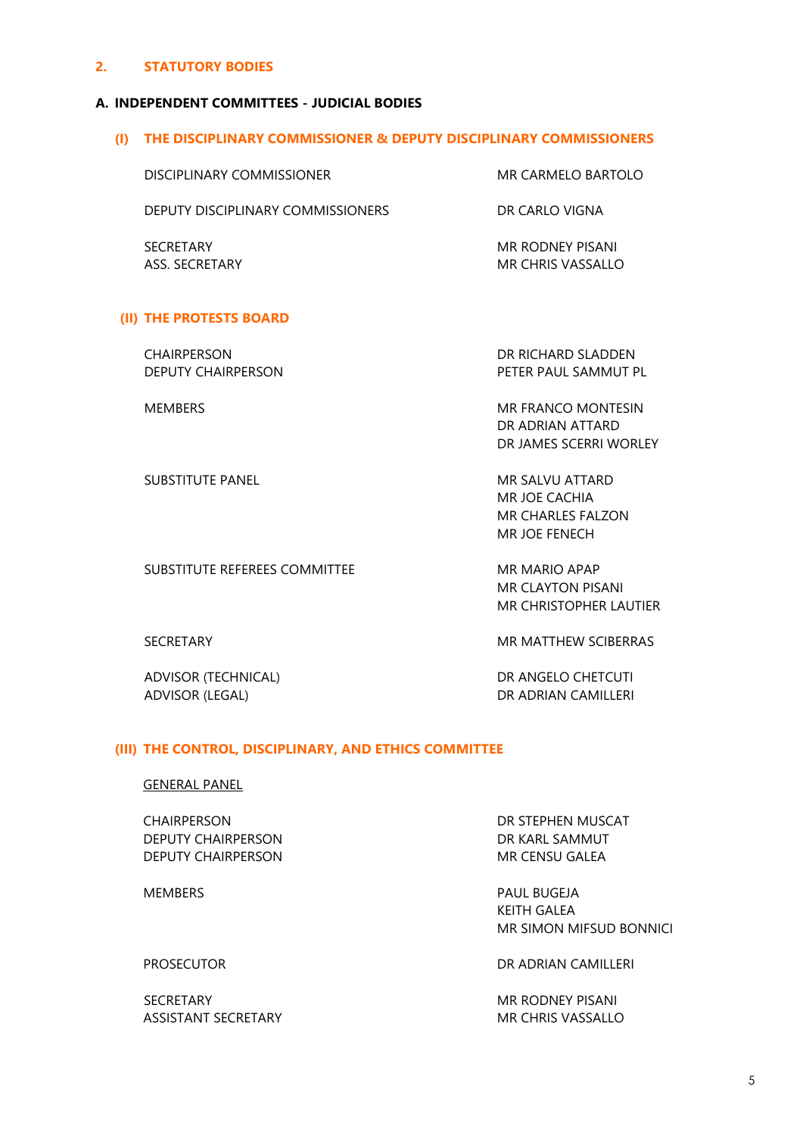## **2. STATUTORY BODIES**

#### **A. INDEPENDENT COMMITTEES - JUDICIAL BODIES**

#### **(I) THE DISCIPLINARY COMMISSIONER & DEPUTY DISCIPLINARY COMMISSIONERS**

| DISCIPLINARY COMMISSIONER         | MR CARMELO BARTOLO                    |
|-----------------------------------|---------------------------------------|
| DEPUTY DISCIPLINARY COMMISSIONERS | DR CARI O VIGNA                       |
| <b>SECRETARY</b><br>ASS SECRETARY | MR RODNEY PISANI<br>MR CHRIS VASSALLO |

#### **(II) THE PROTESTS BOARD**

CHAIRPERSON DR RICHARD SLADDEN

DEPUTY CHAIRPERSON PETER PAUL SAMMUT PL

MEMBERS MEMBERS MEMBERS MEMBERS MEMBERS DR ADRIAN ATTARD DR JAMES SCERRI WORLEY

SUBSTITUTE PANEL **MR SALVU ATTARD** MR JOE CACHIA MR CHARLES FALZON MR JOE FENECH

SUBSTITUTE REFEREES COMMITTEE MR MARIO APAP MR CLAYTON PISANI MR CHRISTOPHER LAUTIER

ADVISOR (TECHNICAL) DR ANGELO CHETCUTI ADVISOR (LEGAL) DR ADRIAN CAMILLERI

SECRETARY **MR MATTHEW SCIBERRAS** 

## **(III) THE CONTROL, DISCIPLINARY, AND ETHICS COMMITTEE**

#### GENERAL PANEL

CHAIRPERSON DR STEPHEN MUSCAT DEPUTY CHAIRPERSON DEPUTY CHAIRPERSON DEPUTY CHAIRPERSON MR CENSU GALEA

SECRETARY **MR RODNEY PISANI** ASSISTANT SECRETARY MR CHRIS VASSALLO

MEMBERS PAUL BUGEJA KEITH GALEA MR SIMON MIFSUD BONNICI

PROSECUTOR **DR ADRIAN CAMILLERI**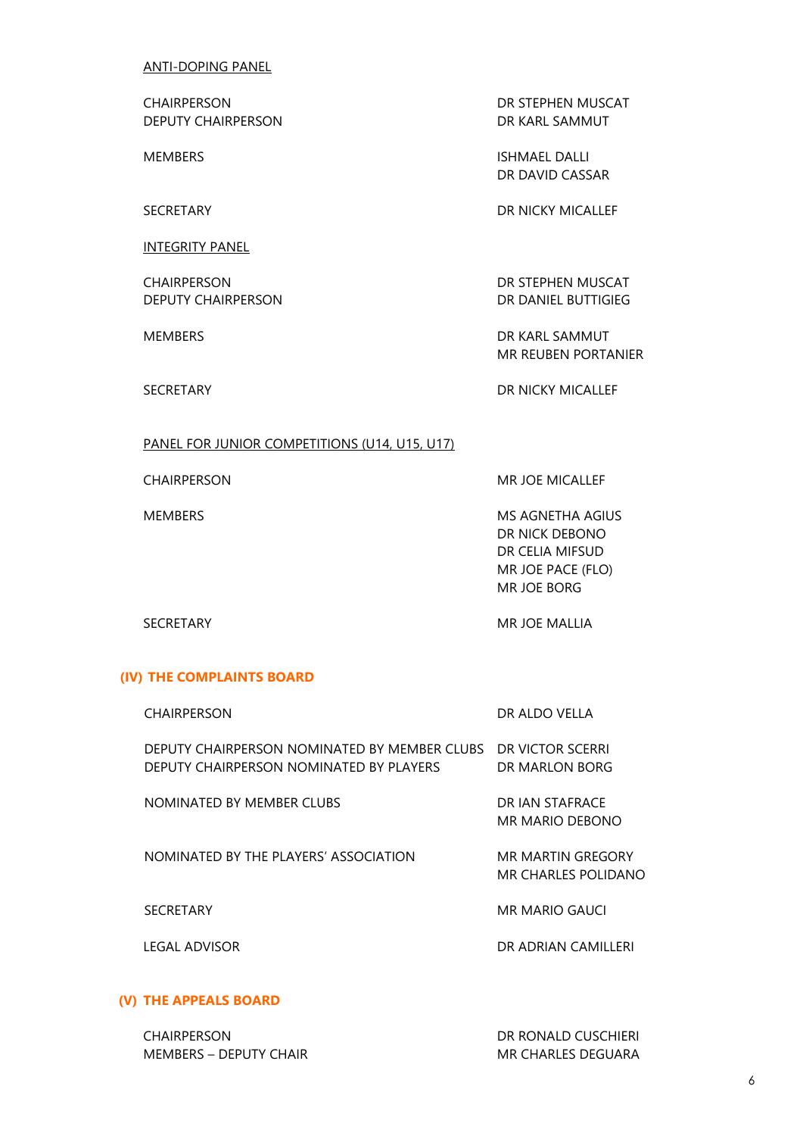ANTI-DOPING PANEL

DEPUTY CHAIRPERSON DEPUTY CHAIRPERSON

INTEGRITY PANEL

CHAIRPERSON DR STEPHEN MUSCAT DEPUTY CHAIRPERSON DEPUTY CHAIRPERSON

CHAIRPERSON DR STEPHEN MUSCAT

MEMBERS ISHMAEL DALLI DR DAVID CASSAR

SECRETARY DR NICKY MICALLEF

MEMBERS DR KARL SAMMUT MR REUBEN PORTANIER

SECRETARY DR NICKY MICALLEF

## PANEL FOR JUNIOR COMPETITIONS (U14, U15, U17)

CHAIRPERSON MR JOE MICALLEF

MEMBERS MEMBERS AND MEMBERS MEMBERS AND MEMBERS AND MEMBERS AND MEMBERS AND MEMBERS AND MEMBERS AND MEMBERS AND MEMBERS AND MEMBERS AND MEMBERS AND MEMBERS AND MEMBERS AND MEMBERS AND MEMBERS AND MEMBERS AND MEMBERS AND ME DR NICK DEBONO DR CELIA MIFSUD MR JOE PACE (FLO) MR JOE BORG

SECRETARY MR JOE MALLIA

### **(IV) THE COMPLAINTS BOARD**

| <b>CHAIRPERSON</b>                                                                      | DR ALDO VELLA                            |
|-----------------------------------------------------------------------------------------|------------------------------------------|
| DEPUTY CHAIRPERSON NOMINATED BY MEMBER CLUBS<br>DEPUTY CHAIRPERSON NOMINATED BY PLAYERS | DR VICTOR SCERRI<br>DR MARLON BORG       |
| NOMINATED BY MEMBER CLUBS                                                               | DR JAN STAFRACF<br>MR MARIO DEBONO       |
| NOMINATED BY THE PLAYERS' ASSOCIATION                                                   | MR MARTIN GREGORY<br>MR CHARLES POLIDANO |
| <b>SECRETARY</b>                                                                        | MR MARIO GAUCI                           |
| LEGAL ADVISOR                                                                           | DR ADRIAN CAMILLERI                      |

## **(V) THE APPEALS BOARD**

CHAIRPERSON DR RONALD CUSCHIERI MEMBERS – DEPUTY CHAIR MEMBERS – MR CHARLES DEGUARA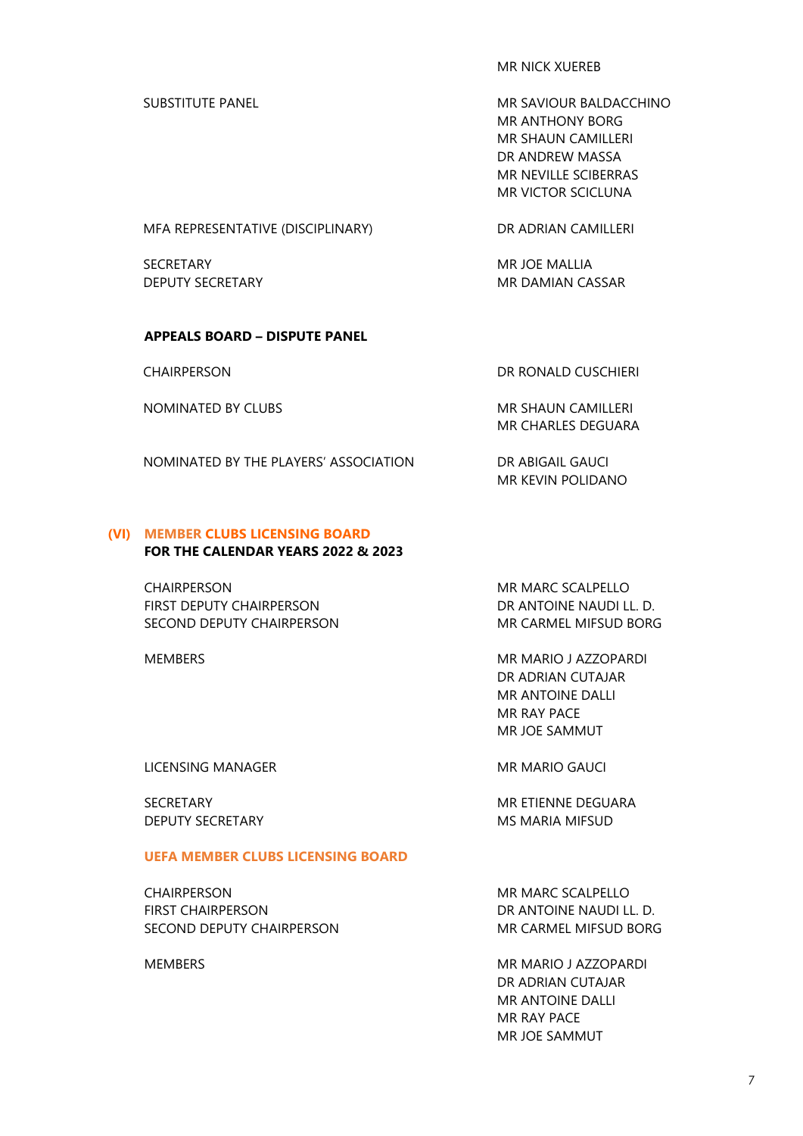MR NICK XUEREB

SUBSTITUTE PANEL **MR SAVIOUR BALDACCHINO** MR ANTHONY BORG MR SHAUN CAMILLERI DR ANDREW MASSA MR NEVILLE SCIBERRAS MR VICTOR SCICLUNA

MFA REPRESENTATIVE (DISCIPLINARY) DR ADRIAN CAMILLERI

SECRETARY MR JOE MALLIA

DEPUTY SECRETARY **MR DAMIAN CASSAR** 

## **APPEALS BOARD – DISPUTE PANEL**

NOMINATED BY CLUBS MR SHAUN CAMILLERI

CHAIRPERSON DR RONALD CUSCHIERI

MR CHARLES DEGUARA

NOMINATED BY THE PLAYERS' ASSOCIATION DR ABIGAIL GAUCI MR KEVIN POLIDANO

#### **(VI) MEMBER CLUBS LICENSING BOARD FOR THE CALENDAR YEARS 2022 & 2023**

CHAIRPERSON MR MARC SCALPELLO

FIRST DEPUTY CHAIRPERSON DR ANTOINE NAUDI LL. D. SECOND DEPUTY CHAIRPERSON MR CARMEL MIFSUD BORG

MEMBERS MEMBERS MEMBERS MEMBERS AND MEMBERS MEMBERS MEMBERS AND MEMBERS MEMBERS AND MEMBERS MEMBERS OF A SALE OF A SALE OF A SALE OF A SALE OF A SALE OF A SALE OF A SALE OF A SALE OF A SALE OF A SALE OF A SALE OF A SALE OF DR ADRIAN CUTAJAR MR ANTOINE DALLI MR RAY PACE MR JOE SAMMUT

LICENSING MANAGER MR MARIO GAUCI

DEPUTY SECRETARY **MS MARIA MIFSUD** 

SECRETARY **MR ETIENNE DEGUARA** 

## **UEFA MEMBER CLUBS LICENSING BOARD**

CHAIRPERSON MR MARC SCALPELLO FIRST CHAIRPERSON **EXECUTE IN THE SET OF ANTOINE NAUDI LL. D.** SECOND DEPUTY CHAIRPERSON MR CARMEL MIFSUD BORG

MEMBERS MEMBERS MEMBERS MEMBERS MEMBERS AND MEMBERS MEMBERS MEMBERS AND MEMBERS MEMBERS MEMBERS AND MEMBERS MEMBERS AND MEMBERS MEMBERS AND MEMBERS MEMBERS AND MEMBERS MEMBERS OF A MEMBERS OF A MEMBERS OF A MEMBERS OF A ME DR ADRIAN CUTAJAR MR ANTOINE DALLI MR RAY PACE MR JOE SAMMUT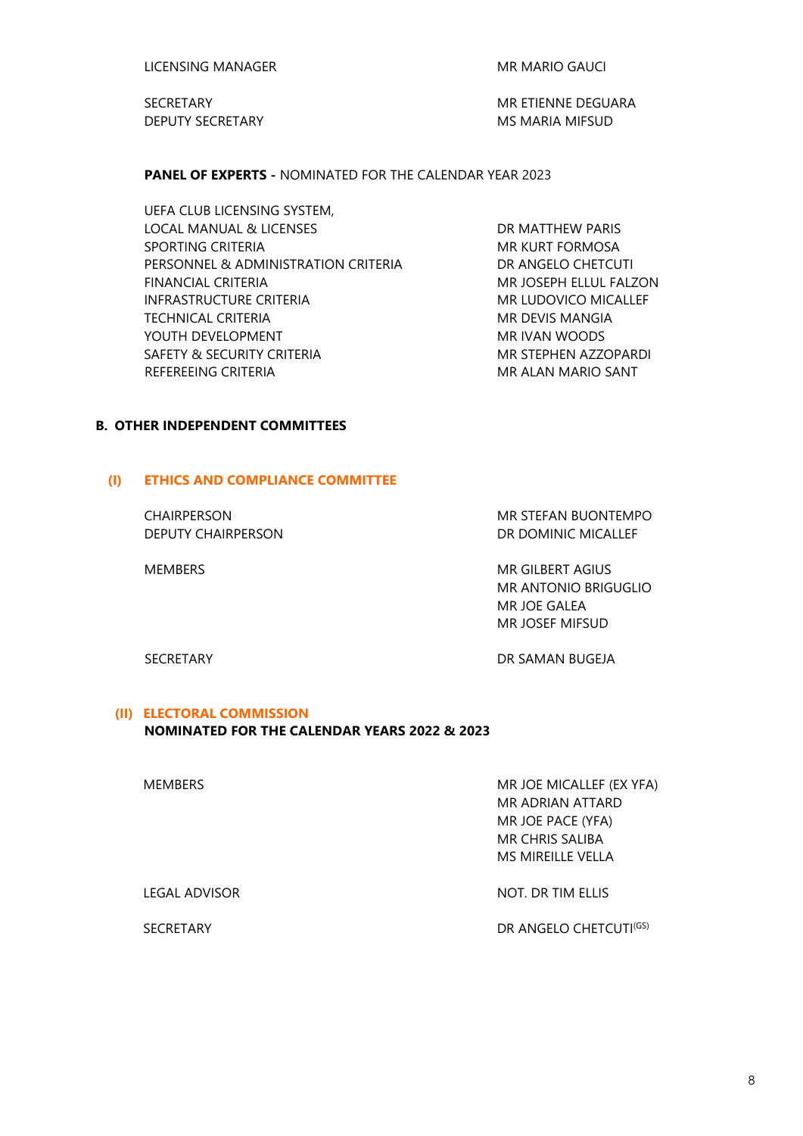LICENSING MANAGER MR MARIO GAUCI

DEPUTY SECRETARY **MS MARIA MIFSUD** 

SECRETARY **MR ETIENNE DEGUARA** 

**PANEL OF EXPERTS -** NOMINATED FOR THE CALENDAR YEAR 2023

UEFA CLUB LICENSING SYSTEM, LOCAL MANUAL & LICENSES DR MATTHEW PARIS SPORTING CRITERIA MARIA MR KURT FORMOSA PERSONNEL & ADMINISTRATION CRITERIA DR ANGELO CHETCUTI FINANCIAL CRITERIA MARIO ANNO 1999 NA SOCIAL ELLUL FALZON INFRASTRUCTURE CRITERIA MR LUDOVICO MICALLEF TECHNICAL CRITERIA MANGIA MELANGIA YOUTH DEVELOPMENT THE MANUSCRIPT OF THE MANUSCRIPT WAS MELTED ASSESSED. **SAFETY & SECURITY CRITERIA MAGE AND MR STEPHEN AZZOPARDI** REFEREEING CRITERIA MARIO SANT MARIO SANT

### **B. OTHER INDEPENDENT COMMITTEES**

## **(I) ETHICS AND COMPLIANCE COMMITTEE**

DEPUTY CHAIRPERSON DR DOMINIC MICALLEF

CHAIRPERSON MR STEFAN BUONTEMPO

MEMBERS MEMBERS MEMBERT AGIUS MR ANTONIO BRIGUGLIO MR JOE GALEA MR JOSEF MIFSUD

SECRETARY DR SAMAN BUGEJA

**(II) ELECTORAL COMMISSION**

### **NOMINATED FOR THE CALENDAR YEARS 2022 & 2023**

MEMBERS MEMBERS MEMBERS MEMBERS MEMBERS MR ADRIAN ATTARD MR JOE PACE (YFA) MR CHRIS SALIBA MS MIREILLE VELLA

LEGAL ADVISOR NOT. DR TIM ELLIS

SECRETARY DR ANGELO CHETCUTI<sup>(GS)</sup>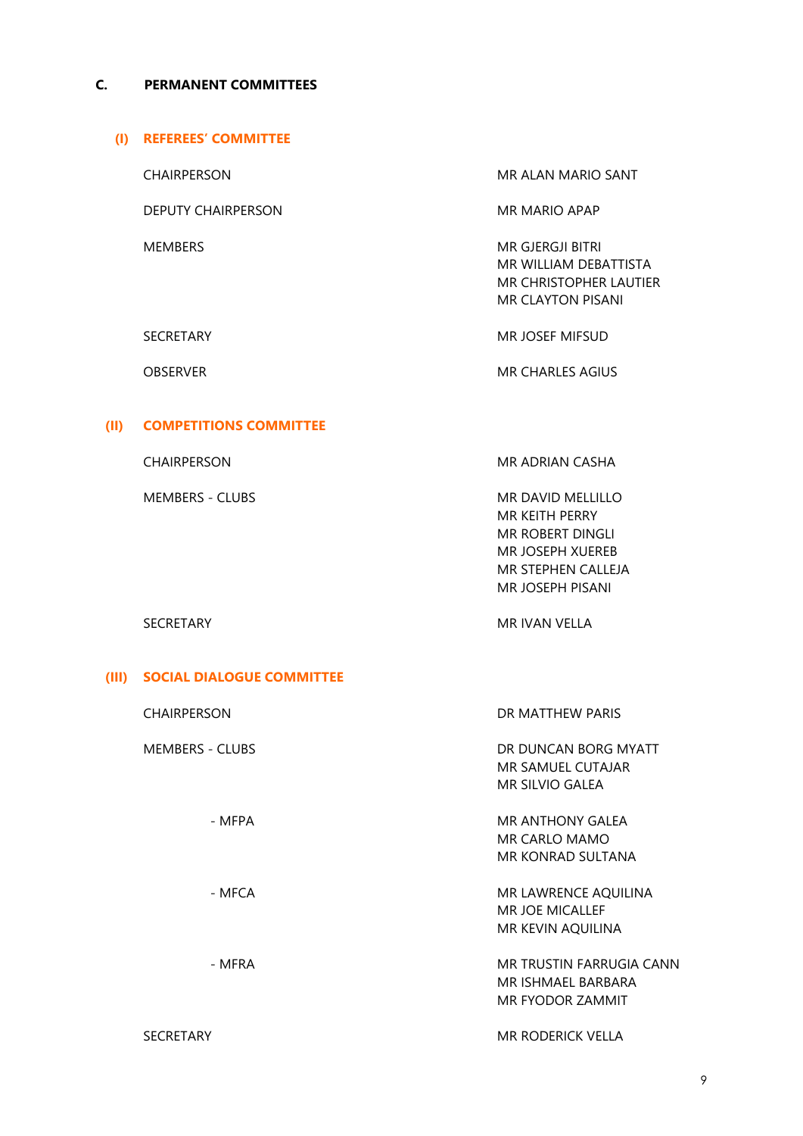## **C. PERMANENT COMMITTEES**

#### **(I) REFEREES' COMMITTEE**

DEPUTY CHAIRPERSON MR MARIO APAP

CHAIRPERSON MR ALAN MARIO SANT

MEMBERS MEMBERS MEMBERS MEMBERS AND THE SERIES OF THE MEMBERS MEMBERS MEMBERS AND THE MEMBERS OF THE MEMBERS OF THE MEMBERS OF THE MEMBERS OF THE MEMBERS OF THE MEMBERS OF THE MEMBERS OF THE MEMBERS OF THE MEMBERS OF THE M MR WILLIAM DEBATTISTA MR CHRISTOPHER LAUTIER MR CLAYTON PISANI

SECRETARY MR JOSEF MIFSUD

OBSERVER MR CHARLES AGIUS

## **(II) COMPETITIONS COMMITTEE**

CHAIRPERSON MR ADRIAN CASHA

MEMBERS - CLUBS MEMBERS - CLUBS MR KEITH PERRY MR ROBERT DINGLI MR JOSEPH XUEREB MR STEPHEN CALLEJA MR JOSEPH PISANI

#### SECRETARY MR IVAN VELLA

#### **(III) SOCIAL DIALOGUE COMMITTEE**

| <b>CHAIRPERSON</b>     | DR MATTHEW PARIS         |  |
|------------------------|--------------------------|--|
| <b>MEMBERS - CLUBS</b> | DR DUNCAN BORG MYATT     |  |
|                        | MR SAMUEL CUTAJAR        |  |
|                        | MR SILVIO GALEA          |  |
| - MFPA                 | MR ANTHONY GALEA         |  |
|                        | MR CARLO MAMO            |  |
|                        | MR KONRAD SULTANA        |  |
| - MFCA                 | MR LAWRENCE AQUILINA     |  |
|                        | <b>MR JOE MICALLEF</b>   |  |
|                        | MR KEVIN AQUILINA        |  |
| - MFRA                 | MR TRUSTIN FARRUGIA CANN |  |
|                        | MR ISHMAEL BARBARA       |  |
|                        | MR FYODOR ZAMMIT         |  |
| <b>SECRETARY</b>       | MR RODERICK VELLA        |  |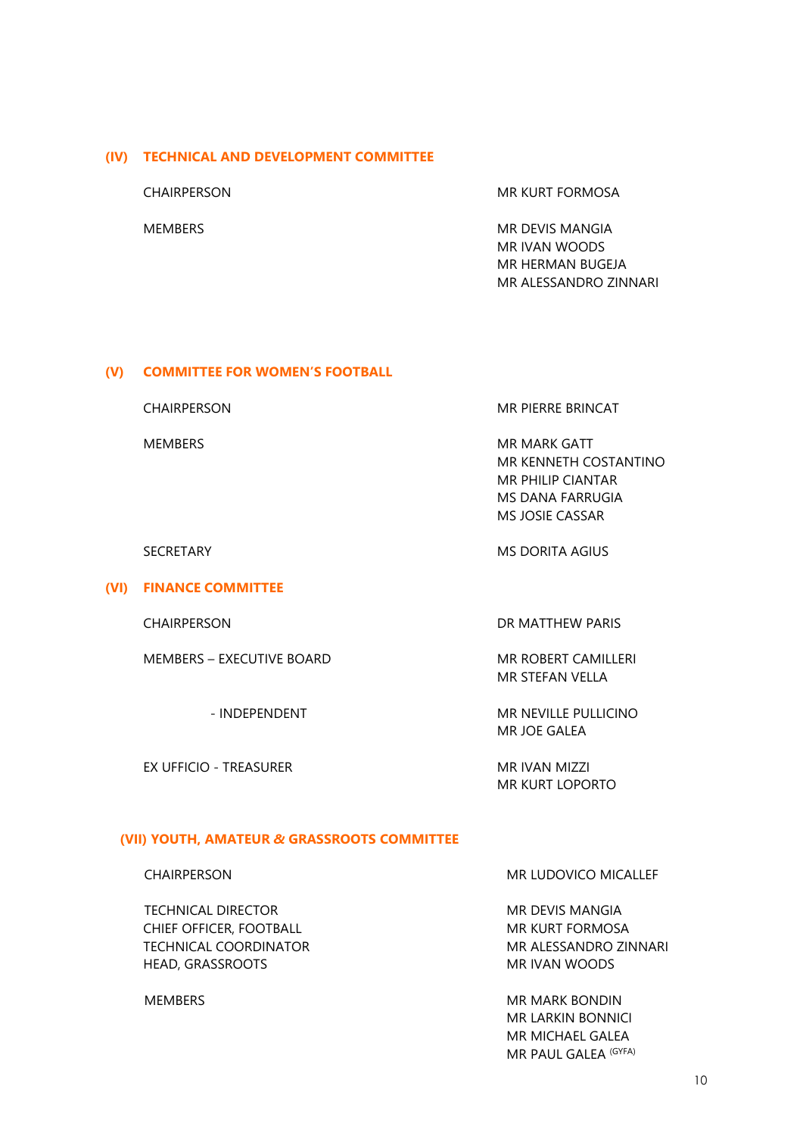#### **(IV) TECHNICAL AND DEVELOPMENT COMMITTEE**

CHAIRPERSON MR KURT FORMOSA

MEMBERS MEMBERS MEMBERS MEMBERS MR IVAN WOODS MR HERMAN BUGEJA MR ALESSANDRO ZINNARI

#### **(V) COMMITTEE FOR WOMEN'S FOOTBALL**

CHAIRPERSON MR PIERRE BRINCAT

MEMBERS MEMBERS MEMBERS MEMBERS AND MEMBERS MEMBERS MR KENNETH COSTANTINO MR PHILIP CIANTAR MS DANA FARRUGIA MS JOSIE CASSAR

SECRETARY MS DORITA AGIUS

### **(VI) FINANCE COMMITTEE**

MEMBERS – EXECUTIVE BOARD MR ROBERT CAMILLERI

EX UFFICIO - TREASURER MR IVAN MIZZI

CHAIRPERSON DR MATTHEW PARIS

MR STEFAN VELLA

- INDEPENDENT MR NEVILLE PULLICINO MR JOE GALEA

MR KURT LOPORTO

## **(VII) YOUTH, AMATEUR** *&* **GRASSROOTS COMMITTEE**

TECHNICAL DIRECTOR MR DEVIS MANGIA CHIEF OFFICER, FOOTBALL **MR KURT FORMOSA** TECHNICAL COORDINATOR MR ALESSANDRO ZINNARI HEAD, GRASSROOTS MR IVAN WOODS

CHAIRPERSON MR LUDOVICO MICALLEF

MEMBERS MEMBERS NEWSLET AND MEMBERS MEMBERS MR LARKIN BONNICI MR MICHAEL GALEA MR PAUL GALEA (GYFA)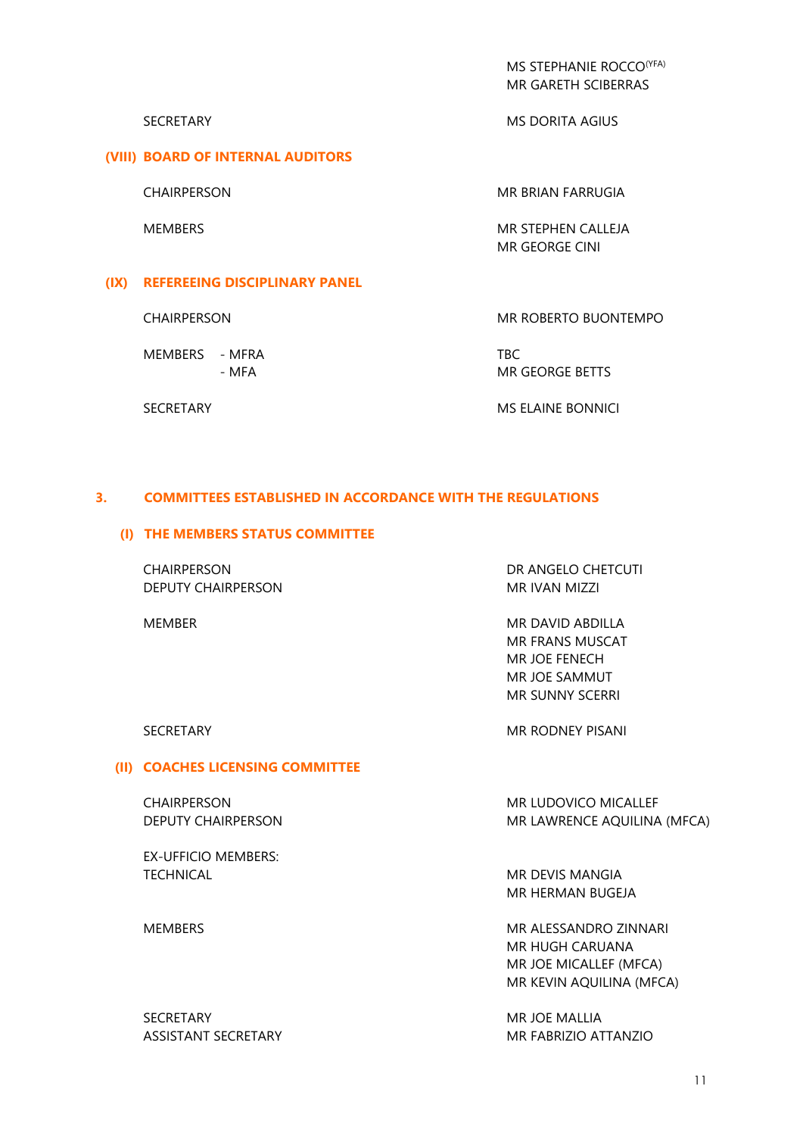MS STEPHANIE ROCCO<sup>(YFA)</sup> MR GARETH SCIBERRAS

#### **(VIII) BOARD OF INTERNAL AUDITORS**

SECRETARY MS DORITA AGIUS

CHAIRPERSON MR BRIAN FARRUGIA

MEMBERS MEMBERS MEMBERS MR GEORGE CINI

## **(IX) REFEREEING DISCIPLINARY PANEL**

MEMBERS - MFRA TBC

CHAIRPERSON MR ROBERTO BUONTEMPO

- MFA MR GEORGE BETTS

SECRETARY **MS ELAINE BONNICI** 

### **3. COMMITTEES ESTABLISHED IN ACCORDANCE WITH THE REGULATIONS**

#### **(I) THE MEMBERS STATUS COMMITTEE**

CHAIRPERSON DR ANGELO CHETCUTI DEPUTY CHAIRPERSON MR IVAN MIZZI

MEMBER MEMBER MEMBER MEMBER MEMBER MEMBER MEMBER MEMBER MEMBER MEMBER MEMBER MEMBER MEMBER MEMBER MEMBER MEMBER MEMBER MEMBER MEMBER MEMBER MEMBER MEMBER MEMBER MEMBER MEMBER MEMBER MEMBER MEMBER MEMBER MEMBER MEMBER MEMBE MR FRANS MUSCAT MR JOE FENECH MR JOE SAMMUT MR SUNNY SCERRI

#### **(II) COACHES LICENSING COMMITTEE**

EX-UFFICIO MEMBERS: TECHNICAL **MR DEVIS MANGIA** 

SECRETARY MR JOE MALLIA

SECRETARY **MR RODNEY PISANI** 

CHAIRPERSON MR LUDOVICO MICALLEF DEPUTY CHAIRPERSON MR LAWRENCE AQUILINA (MFCA)

MR HERMAN BUGEJA

MEMBERS MR ALESSANDRO ZINNARI MR HUGH CARUANA MR JOE MICALLEF (MFCA) MR KEVIN AQUILINA (MFCA)

ASSISTANT SECRETARY MR FABRIZIO ATTANZIO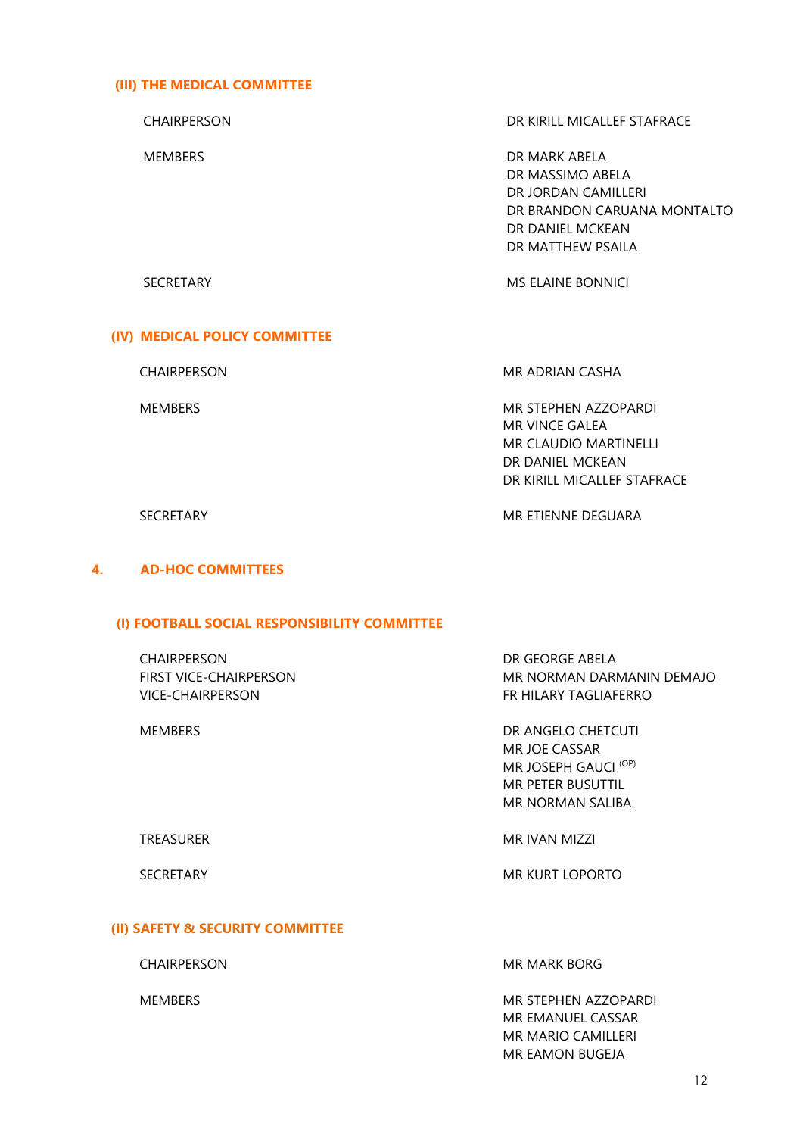### **(III) THE MEDICAL COMMITTEE**

CHAIRPERSON DR KIRILL MICALLEF STAFRACE MEMBERS DR MARK ABELA DR MASSIMO ABELA DR JORDAN CAMILLERI DR BRANDON CARUANA MONTALTO DR DANIEL MCKEAN DR MATTHEW PSAILA SECRETARY MS ELAINE BONNICI

## **(IV) MEDICAL POLICY COMMITTEE**

CHAIRPERSON MR ADRIAN CASHA

MEMBERS MR STEPHEN AZZOPARDI MR VINCE GALEA MR CLAUDIO MARTINELLI DR DANIEL MCKEAN DR KIRILL MICALLEF STAFRACE

SECRETARY **MR ETIENNE DEGUARA** 

## **4. AD-HOC COMMITTEES**

#### **(I) FOOTBALL SOCIAL RESPONSIBILITY COMMITTEE**

| <b>CHAIRPERSON</b><br><b>FIRST VICE-CHAIRPERSON</b><br>VICE-CHAIRPERSON | DR GEORGE ABELA<br>MR NORMAN DARMANIN DEMAJO<br>FR HILARY TAGLIAFERRO                                |  |
|-------------------------------------------------------------------------|------------------------------------------------------------------------------------------------------|--|
| <b>MEMBERS</b>                                                          | DR ANGELO CHETCUTI<br>MR JOE CASSAR<br>MR JOSEPH GAUCI (OP)<br>MR PETER BUSUTTIL<br>MR NORMAN SALIBA |  |
| <b>TREASURER</b>                                                        | MR IVAN MIZZI                                                                                        |  |
| <b>SECRETARY</b>                                                        | MR KURT LOPORTO                                                                                      |  |

## **(II) SAFETY & SECURITY COMMITTEE**

CHAIRPERSON MR MARK BORG

MEMBERS MEMBERS MEMBERS MEMBERS AND MEMBERS MEMBERS MEMBERS AND MEMBERS MEMBERS AND MEMBERS MEMBERS AND MEMBERS MEMBERS AND MEMBERS AND MEMBERS AND MEMBERS AND MEMBERS AND MEMBERS AND MEMBERS AND MEMBERS AND MEMBERS AND ME MR EMANUEL CASSAR MR MARIO CAMILLERI MR EAMON BUGEJA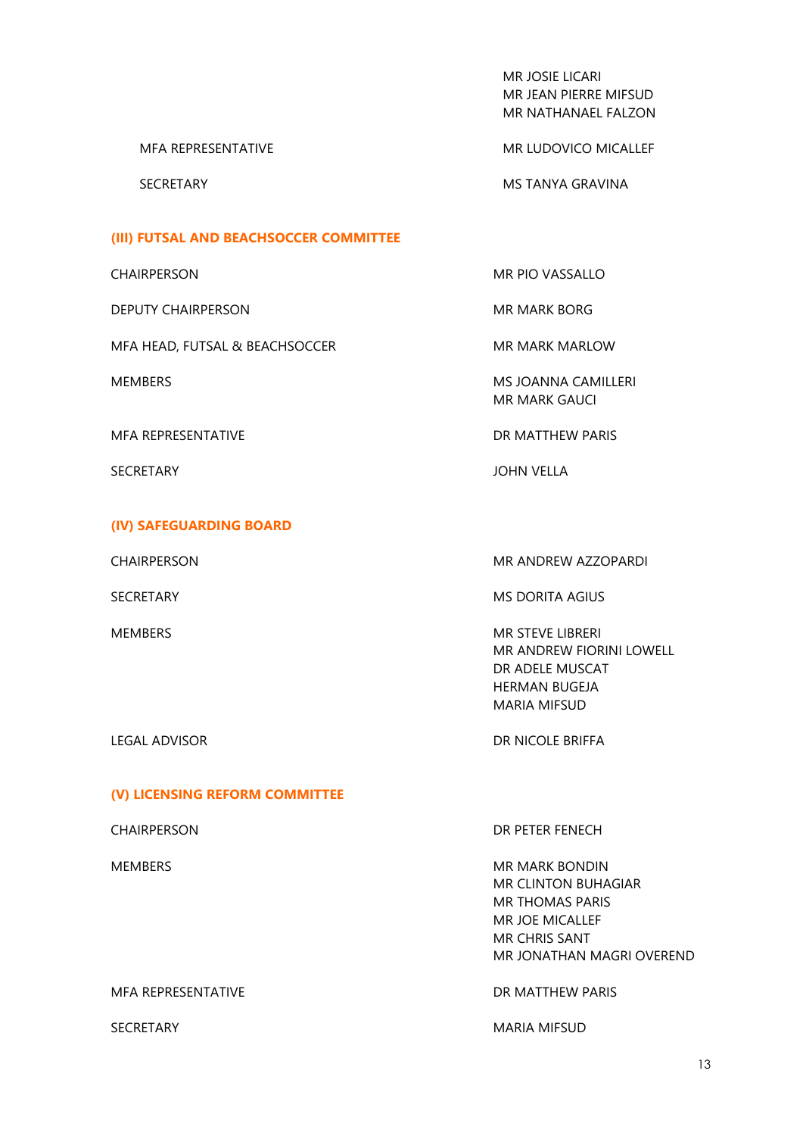MR JOSIE LICARI MR JEAN PIERRE MIFSUD MR NATHANAEL FALZON

MFA REPRESENTATIVE MESSENTATIVE MR LUDOVICO MICALLEF

SECRETARY MSTANYA GRAVINA

#### **(III) FUTSAL AND BEACHSOCCER COMMITTEE**

DEPUTY CHAIRPERSON ME MARK BORG

MFA HEAD, FUTSAL & BEACHSOCCER MR MARK MARLOW

MFA REPRESENTATIVE **Example 20 and 20 and 20 and 20 and 20 and 20 and 20 and 20 and 20 and 20 and 20 and 20 and 20 and 20 and 20 and 20 and 20 and 20 and 20 and 20 and 20 and 20 and 20 and 20 and 20 and 20 and 20 and 20 an** 

### **(IV) SAFEGUARDING BOARD**

CHAIRPERSON MR PIO VASSALLO

MEMBERS MEMBERS AND THE SERVICE OF THE MANUSCRIPT OF THE MEMBERS OF THE MANUSCRIPT OF THE MANUSCRIPT OF THE MANUSCRIPT OF THE MANUSCRIPT OF THE MANUSCRIPT OF THE MANUSCRIPT OF THE MANUSCRIPT OF THE MANUSCRIPT OF THE MANUSC MR MARK GAUCI

SECRETARY **SECRETARY SECRETARY** 

#### CHAIRPERSON MR ANDREW AZZOPARDI

SECRETARY MS DORITA AGIUS

MEMBERS **MEMBERS** MEMBERS **MEMBERS** MEMBERI MR ANDREW FIORINI LOWELL DR ADELE MUSCAT HERMAN BUGEJA MARIA MIFSUD

LEGAL ADVISOR DR NICOLE BRIFFA

#### **(V) LICENSING REFORM COMMITTEE**

## CHAIRPERSON DR PETER FENECH

MEMBERS MEMBERS MEMBERS MEMBERS MR CLINTON BUHAGIAR MR THOMAS PARIS MR JOE MICALLEF MR CHRIS SANT MR JONATHAN MAGRI OVEREND

MFA REPRESENTATIVE **Example 20 and 20 and 20 and 20 and 20 and 20 and 20 and 20 and 20 and 20 and 20 and 20 and 20 and 20 and 20 and 20 and 20 and 20 and 20 and 20 and 20 and 20 and 20 and 20 and 20 and 20 and 20 and 20 an** 

SECRETARY **MARIA MIFSUD**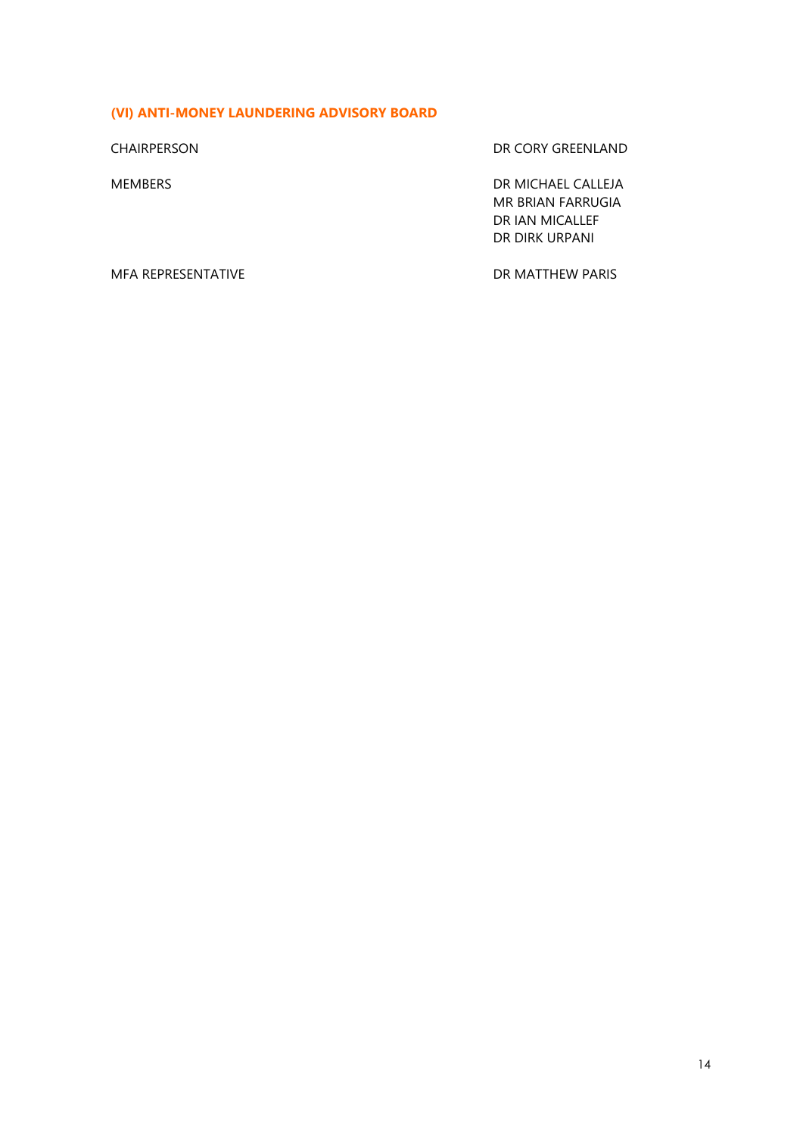# **(VI) ANTI-MONEY LAUNDERING ADVISORY BOARD**

CHAIRPERSON DR CORY GREENLAND

MEMBERS DR MICHAEL CALLEJA MR BRIAN FARRUGIA DR IAN MICALLEF DR DIRK URPANI

MFA REPRESENTATIVE **EXECUTE IN THE SERVICE SERVICE SERVICE SERVICE** DR MATTHEW PARIS